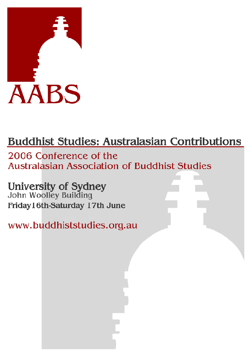

# **Buddhist Studies: Australasian Contributions**

2006 Conference of the **Australasian Association of Buddhist Studies** 

# **University of Sydney**<br>John Woolley Building

Friday16th-Saturday 17th June

www.buddhiststudies.org.au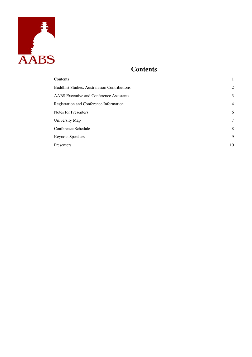<span id="page-1-0"></span>

# **Contents**

| Contents                                            | 1              |
|-----------------------------------------------------|----------------|
| <b>Buddhist Studies: Australasian Contributions</b> | $\overline{2}$ |
| <b>AABS</b> Executive and Conference Assistants     | 3              |
| Registration and Conference Information             | $\overline{4}$ |
| <b>Notes for Presenters</b>                         | 6              |
| University Map                                      | 7              |
| Conference Schedule                                 | 8              |
| Keynote Speakers                                    | 9              |
| Presenters                                          | 10             |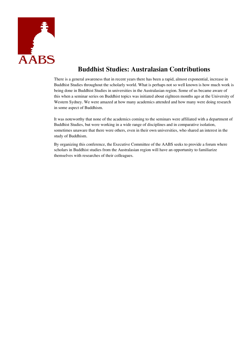<span id="page-2-0"></span>

# **Buddhist Studies: Australasian Contributions**

There is a general awareness that in recent years there has been a rapid, almost exponential, increase in Buddhist Studies throughout the scholarly world. What is perhaps not so well known is how much work is being done in Buddhist Studies in universities in the Australasian region. Some of us became aware of this when a seminar series on Buddhist topics was initiated about eighteen months ago at the University of Western Sydney. We were amazed at how many academics attended and how many were doing research in some aspect of Buddhism.

It was noteworthy that none of the academics coming to the seminars were affiliated with a department of Buddhist Studies, but were working in a wide range of disciplines and in comparative isolation, sometimes unaware that there were others, even in their own universities, who shared an interest in the study of Buddhism.

By organizing this conference, the Executive Committee of the AABS seeks to provide a forum where scholars in Buddhist studies from the Australasian region will have an opportunity to familiarize themselves with researches of their colleagues.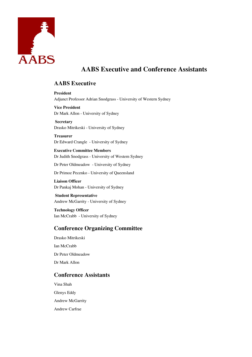<span id="page-3-0"></span>

# **AABS Executive and Conference Assistants**

# **AABS Executive**

**President**  Adjunct Professor Adrian Snodgrass - University of Western Sydney

**Vice President**  Dr Mark Allon - University of Sydney

 **Secretary**  Drasko Mitrikeski - University of Sydney

**Treasurer**  Dr Edward Crangle - University of Sydney

**Executive Committee Members**  Dr Judith Snodgrass - University of Western Sydney

Dr Peter Oldmeadow - University of Sydney

Dr Primoz Pecenko - University of Queensland

**Liaison Officer**  Dr Pankaj Mohan - University of Sydney

 **Student Representative**  Andrew McGarrity - University of Sydney

**Technology Officer**  Ian McCrabb - University of Sydney

# **Conference Organizing Committee**

Drasko Mitrikeski Ian McCrabb Dr Peter Oldmeadow Dr Mark Allon

# **Conference Assistants**

Vina Shah Glenys Eddy Andrew McGarrity Andrew Carfrae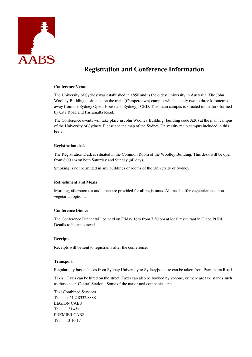<span id="page-4-0"></span>

# **Registration and Conference Information**

#### **Conference Venue**

The University of Sydney was established in 1850 and is the oldest university in Australia. The John Woolley Building is situated on the main (Camperdown) campus which is only two to three kilometres away from the Sydney Opera House and Sydney's CBD. This main campus is situated in the fork formed by City Road and Parramatta Road.

The Conference events will take place in John Woolley Building (building code A20) at the main campus of the University of Sydney. Please see the map of the Sydney University main campus included in this book.

#### **Registration desk**

The Registration Desk is situated in the Common Room of the Woolley Building. This desk will be open from 8.00 am on both Saturday and Sunday (all day).

Smoking is not permitted in any buildings or rooms of the University of Sydney.

#### **Refreshment and Meals**

Morning, afternoon tea and lunch are provided for all registrants. All meals offer vegetarian and nonvegetarian options.

#### **Conference Dinner**

The Conference Dinner will be held on Friday 16th from 7.30 pm at local restaurant in Glebe Pt Rd. Details to be announced.

#### **Receipts**

Receipts will be sent to registrants after the conference.

#### **Transport**

Regular city buses: buses from Sydney University to Sydney's centre can be taken from Parramatta Road.

Taxis: Taxis can be hired on the street. Taxis can also be booked by 'phone, or there are taxi stands such as those near Central Station. Some of the major taxi companies are:

Taxi Combined Services Tel. + 61 2 8332 8888 LEGION CABS Tel. 131 451 PREMIER CABS Tel. 13 10 17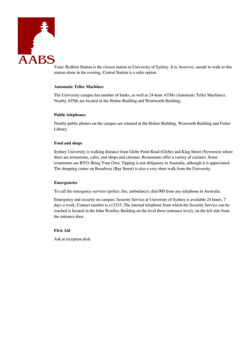

Train: Redfern Station is the closest station to University of Sydney. It is, however, unsafe to walk to this station alone in the evening. Central Station is a safer option.

#### **Automatic Teller Machines**

The University campus has number of banks, as well as 24-hour ATMs (Automatic Teller Machines). Nearby ATMs are located in the Holme Building and Wentworth Building.

#### **Public telephones**

Nearby public phones on the campus are situated in the Holme Building, Wenworth Building and Fisher Library.

#### **Food and shops**

Sydney University is walking distance from Glebe Point Road (Glebe) and King Street (Newtown) where there are restaurants, cafes, and shops and cinemas. Restaurants offer a variety of cuisines. Some restaurants are BYO: Bring Your Own. Tipping is not obligatory in Australia, although it is appreciated. The shopping centre on Broadway (Bay Street) is also a very short walk from the University.

#### **Emergencies**

To call the emergency services (police, fire, ambulance), dial 000 from any telephone in Australia.

Emergency and security on campus: Security Service at University of Sydney is available 24 hours, 7 days a week. Contact number is x13333. The internal telephone from which the Security Service can be reached is located in the John Woolley Building on the level three (entrance level), on the left side from the entrance door.

#### **First Aid**

Ask at reception desk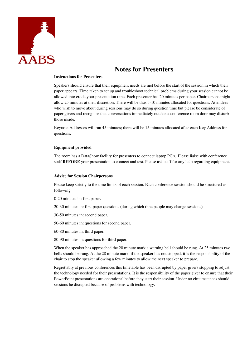<span id="page-6-0"></span>

# **Notes for Presenters**

## **Instructions for Presenters**

Speakers should ensure that their equipment needs are met before the start of the session in which their paper appears. Time taken to set up and troubleshoot technical problems during your session cannot be allowed into erode your presentation time. Each presenter has 20 minutes per paper. Chairpersons might allow 25 minutes at their discretion. There will be thus 5-10 minutes allocated for questions. Attendees who wish to move about during sessions may do so during question time but please be considerate of paper givers and recognise that conversations immediately outside a conference room door may disturb those inside.

Keynote Addresses will run 45 minutes; there will be 15 minutes allocated after each Key Address for questions.

#### **Equipment provided**

The room has a DataShow facility for presenters to connect laptop PC's. Please liaise with conference staff **BEFORE** your presentation to connect and test. Please ask staff for any help regarding equipment.

#### **Advice for Session Chairpersons**

Please keep strictly to the time limits of each session. Each conference session should be structured as following:

0-20 minutes in: first paper.

20-30 minutes in: first paper questions (during which time people may change sessions)

30-50 minutes in: second paper.

50-60 minutes in: questions for second paper.

60-80 minutes in: third paper.

80-90 minutes in: questions for third paper.

When the speaker has approached the 20 minute mark a warning bell should be rung. At 25 minutes two bells should be rung. At the 28 minute mark, if the speaker has not stopped, it is the responsibility of the chair to stop the speaker allowing a few minutes to allow the next speaker to prepare.

Regrettably at previous conferences this timetable has been disrupted by paper givers stopping to adjust the technology needed for their presentations. It is the responsibility of the paper giver to ensure that their PowerPoint presentations are operational before they start their session. Under no circumstances should sessions be disrupted because of problems with technology.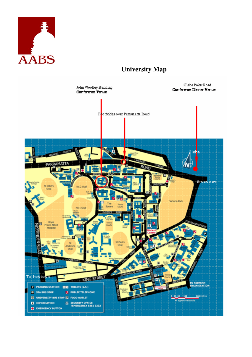<span id="page-7-0"></span>

# **University Map**

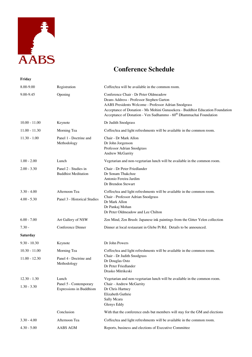<span id="page-8-0"></span>

**Friday** 

# **Conference Schedule**

| 8.00-9.00       | Registration                                       | Coffee/tea will be available in the common room.                                                                                                                                                                                                                                                             |
|-----------------|----------------------------------------------------|--------------------------------------------------------------------------------------------------------------------------------------------------------------------------------------------------------------------------------------------------------------------------------------------------------------|
| 9.00-9.45       | Opening                                            | Conference Chair - Dr Peter Oldmeadow<br>Deans Address - Professor Stephen Garton<br>AABS Presidents Welcome - Professor Adrian Snodgrass<br>Acceptance of Donation - Ms Mohini Gunasekera - Buddhist Education Foundation<br>Acceptance of Donation - Ven Sudhammo - 60 <sup>th</sup> Dhammachai Foundation |
| $10.00 - 11.00$ | Keynote                                            | Dr Judith Snodgrass                                                                                                                                                                                                                                                                                          |
| $11.00 - 11.30$ | Morning Tea                                        | Coffee/tea and light refreshments will be available in the common room.                                                                                                                                                                                                                                      |
| $11.30 - 1.00$  | Panel 1 - Doctrine and<br>Methodology              | Chair - Dr Mark Allon<br>Dr John Jorgenson<br>Professor Adrian Snodgrass<br>Andrew McGarrity                                                                                                                                                                                                                 |
| $1.00 - 2.00$   | Lunch                                              | Vegetarian and non-vegetarian lunch will be available in the common room.                                                                                                                                                                                                                                    |
| $2.00 - 3.30$   | Panel 2 - Studies in<br><b>Buddhist Meditation</b> | Chair - Dr Peter Friedlander<br>Dr Sonam Thakchoe<br>Antonio Fereira Jardim<br>Dr Brendon Stewart                                                                                                                                                                                                            |
| $3.30 - 4.00$   | Afternoon Tea                                      | Coffee/tea and light refreshments will be available in the common room.                                                                                                                                                                                                                                      |
| $4.00 - 5.30$   | Panel 3 - Historical Studies                       | Chair - Professor Adrian Snodgrass<br>Dr Mark Allon<br>Dr Pankaj Mohan<br>Dr Peter Oldmeadow and Lee Chilton                                                                                                                                                                                                 |
| $6.00 - 7.00$   | Art Gallery of NSW                                 | Zen Mind, Zen Brush: Japanese ink paintings from the Gitter Yelen collection                                                                                                                                                                                                                                 |
| $7.30 -$        | Conference Dinner                                  | Dinner at local restaurant in Glebe Pt Rd. Details to be announced.                                                                                                                                                                                                                                          |
| <b>Saturday</b> |                                                    |                                                                                                                                                                                                                                                                                                              |
| $9.30 - 10.30$  | Keynote                                            | Dr John Powers                                                                                                                                                                                                                                                                                               |
| $10.30 - 11.00$ | Morning Tea                                        | Coffee/tea and light refreshments will be available in the common room.                                                                                                                                                                                                                                      |
| $11.00 - 12.30$ | Panel 4 - Doctrine and<br>Methodology              | Chair - Dr Judith Snodgrass<br>Dr Douglas Osto<br>Dr Peter Friedlander<br>Drasko Mitrikeski                                                                                                                                                                                                                  |
| $12.30 - 1.30$  | Lunch                                              | Vegetarian and non-vegetarian lunch will be available in the common room.                                                                                                                                                                                                                                    |
| $1.30 - 3.30$   | Panel 5 - Contemporary<br>Expressions in Buddhism  | Chair - Andrew McGarrity<br>Dr Chris Hartney<br>Elizabeth Guthrie<br>Sally Mcara<br>Glenys Eddy                                                                                                                                                                                                              |
|                 | Conclusion                                         | With that the conference ends but members will stay for the GM and elections                                                                                                                                                                                                                                 |
| $3.30 - 4.00$   | Afternoon Tea                                      | Coffee/tea and light refreshments will be available in the common room.                                                                                                                                                                                                                                      |
| $4.30 - 5.00$   | AABS AGM                                           | Reports, business and elections of Executive Committee                                                                                                                                                                                                                                                       |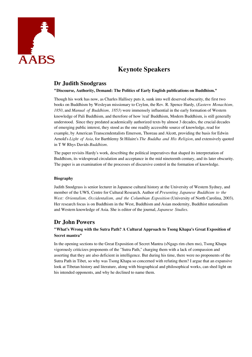<span id="page-9-0"></span>

# **Keynote Speakers**

# **Dr Judith Snodgrass**

#### **"Discourse, Authority, Demand: The Politics of Early English publications on Buddhism."**

Though his work has now, as Charles Hallisey puts it, sunk into well deserved obscurity, the first two books on Buddhism by Wesleyan missionary to Ceylon, the Rev. R. Spence Hardy, (*Eastern Monachism, 1850*, and *Manual of Buddhism, 1853*) were immensely influential in the early formation of Western knowledge of Pali Buddhism, and therefore of how 'real' Buddhism, Modern Buddhism, is still generally understood. Since they predated academically authorized texts by almost 3 decades, the crucial decades of emerging public interest, they stood as the one readily accessible source of knowledge, read for example, by American Transcendentalists Emerson, Thoreau and Alcott, providing the basis for Edwin Arnold's *Light of Asia*, for Barthlemy St Hilaire's *The Buddha and His Religion*, and extensively quoted in T W Rhys Davids *Buddhism*.

The paper revisits Hardy's work, describing the political imperatives that shaped its interpretation of Buddhism, its widespread circulation and acceptance in the mid nineteenth century, and its later obscurity. The paper is an examination of the processes of discursive control in the formation of knowledge.

#### **Biography**

Judith Snodgrass is senior lecturer in Japanese cultural history at the University of Western Sydney, and member of the UWS, Centre for Cultural Research. Author of *Presenting Japanese Buddhism to the West: Orientalism, Occidentalism, and the Columbian Exposition* (University of North Carolina, 2003). Her research focus is on Buddhism in the West, Buddhism and Asian modernity, Buddhist nationalism and Western knowledge of Asia. She is editor of the journal, *Japanese Studies*.

# **Dr John Powers**

# **"What's Wrong with the Sutra Path? A Cultural Approach to Tsong Khapa's Great Exposition of Secret mantra"**

In the opening sections to the Great Exposition of Secret Mantra (sNgags rim chen mo), Tsong Khapa vigorously criticizes proponents of the "Sutra Path," charging them with a lack of compassion and asserting that they are also deficient in intelligence. But during his time, there were no proponents of the Sutra Path in Tibet, so why was Tsong Khapa so concerned with refuting them? I argue that an expansive look at Tibetan history and literature, along with biographical and philosophical works, can shed light on his intended opponents, and why he declined to name them.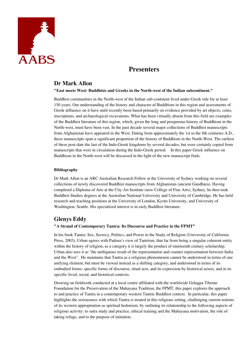<span id="page-10-0"></span>

# **Presenters**

# **Dr Mark Allon**

## **"East meets West: Buddhists and Greeks in the North-west of the Indian subcontinent."**

Buddhist communities in the North-west of the Indian sub-continent lived under Greek rule for at least 150 years. Our understanding of the history and character of Buddhism in this region and assessments of Greek influence on it have until recently been based primarily on evidence provided by art objects, coins, inscriptions, and archaeological excavations. What has been virtually absent from this field are examples of the Buddhist literature of this region, which, given the long and prosperous history of Buddhism in the North-west, must have been vast. In the past decade several major collections of Buddhist manuscripts from Afghanistan have appeared in the West. Dating from approximately the 1st to the 8th centuries A.D., these manuscripts span a significant proportion of the history of Buddhism in the North-West. The earliest of these post-date the last of the Indo-Greek kingdoms by several decades, but were certainly copied from manuscripts that were in circulation during the Indo-Greek period. In this paper Greek influence on Buddhism in the North-west will be discussed in the light of the new manuscript finds.

#### **Bibliography**

Dr Mark Allon is an ARC Australian Research Fellow at the University of Sydney working on several collections of newly discovered Buddhist manuscripts from Afghanistan (ancient Gandhara). Having completed a Diploma of Arts at the City Art Institute (now College of Fine Arts), Sydney, he then took Buddhist Studies degrees at the Australian National University and University of Cambridge. He has held research and teaching positions at the University of London, Kyoto University, and University of Washington, Seattle. His specialized interest is in early Buddhist literature.

# **Glenys Eddy**

## **"A Strand of Contemporary Tantra: Its Discourse and Practice in the FPMT"**

In his book Tantra: Sex, Secrecy, Politics, and Power in the Study of Religion (University of California Press, 2003), Urban agrees with Padoux's view of Tantrism, that far from being a singular coherent entity within the history of religion, as a category it is largely the product of nineteenth century scholarship. Urban also sees it as "the ambiguous result of the representation and counter representation between India and the West". He maintains that Tantra as a religious phenomenon cannot be understood in terms of one unifying element, but must be viewed instead as a shifting category, and understood in terms of its embodied forms: specific forms of discourse, ritual acts, and its expression by historical actors, and in its specific lived, social, and historical contexts.

Drawing on fieldwork conducted at a local centre affiliated with the worldwide Gelugpa Tibetan Foundation for the Preservation of the Mahayana Tradition, the FPMT, this paper explores the approach to and practice of Tantra in a contemporary western Tantric Buddhist context. In particular, this paper highlights the seriousness with which Tantra is treated in this religious setting, challenging current notions of its western appropriation as spiritual hedonism, by outlining its relationship to the following aspects of religious activity: to sutra study and practice, ethical training and the Mahayana motivation, the role of taking refuge, and to the purpose of initiation.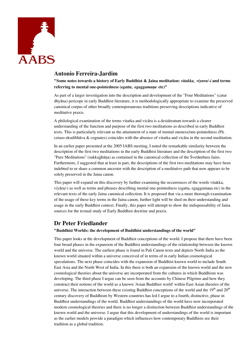

# **Antonio Ferreira-Jardim**

**"Some notes towards a history of Early Buddhist & Jaina meditation:** *vitakka, viynra/-i* **and terms**  referring to mental one-pointedness (*egatta, egaggamana* etc)"

As part of a larger investigation into the description and development of the "Four Meditations" (catur dhyāna) pericope in early Buddhist literature, it is methodologically appropriate to examine the preserved canonical corpus of other broadly contemporaneous traditions preserving descriptions indicative of meditative praxis.

A philological examination of the terms vitarka and vicāra is a desideratum towards a clearer understanding of the function and purpose of the first two meditations as described in early Buddhist texts. This is particularly relevant as the attainment of a state of mental oneness/one-pointedness (Pā. cetaso ekodibhāva & cognates) coincides with the absence of vitarka and vicāra in the second meditation.

In an earlier paper presented at the 2005 IABS meeting, I noted the remarkable similarity between the description of the first two meditations in the early Buddhist literature and the description of the first two "Pure Meditations" (sukkajjhāõa) as contained in the canonical collection of the Śvetāmbara Jains. Furthermore, I suggested that at least in part, the descriptions of the first two meditations may have been indebted to or share a common ancestor with the description of a meditative path that now appears to be solely preserved in the Jaina canon.

This paper will expand on this discovery by further examining the occurrences of the words vitakka, viyāra/-i as well as terms and phrases describing mental one-pointedness (egatta, egaggamana etc) in the relevant texts of the early Jaina canonical collection. It is proposed that via a more thorough examination of the usage of these key terms in the Jaina canon, further light will be shed on their understanding and usage in the early Buddhist context. Finally, this paper will attempt to show the indispensability of Jaina sources for the textual study of Early Buddhist doctrine and praxis.

# **Dr Peter Friedlander**

#### **"Buddhist Worlds: the development of Buddhist understandings of the world"**

This paper looks at the development of Buddhist conceptions of the world. I propose that there have been four broad phases in the expansion of the Buddhist understandings of the relationship between the known world and the universe. The earliest phase is found in Pali Canon texts and depicts North India as the known world situated within a universe conceived of in terms of in early Indian cosmological speculations. The next phase coincides with the expansion of Buddhist known world to include South East Asia and the North West of India. In this there is both an expansion of the known world and the new cosmological theories about the universe are incorporated from the cultures in which Buddhism was developing. The third phase I argue can be seen from the accounts by Chinese Pilgrims and how they construct their notions of the world as a known 'Asian Buddhist world' within East Asian theories of the universe. The interaction between these existing Buddhist conceptions of the world and the  $19<sup>th</sup>$  and  $20<sup>th</sup>$ century discovery of Buddhism by Western countries has led I argue to a fourth, distinctive, phase in Buddhist understandings of the world. Buddhist understandings of the world have now incorporated modern cosmological theories and there is no longer a distinction between Buddhist understandings of the known world and the universe. I argue that this development of understandings of the world is important as the earlier models provide a paradigm which influences how contemporary Buddhists see their tradition as a global tradition.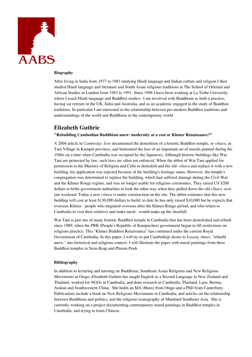

#### **Biography**

After living in India from 1977 to 1983 studying Hindi language and Indian culture and religion I then studied Hindi language and literature and South Asian religious traditions at The School of Oriental and African Studies in London from 1983 to 1991. Since 1996 I have been working at La Trobe University where I teach Hindi language and Buddhist studies. I am involved with Buddhism as both a practice, having sat retreats in the UK, India and Australia, and as an academic engaged in the study of Buddhist traditions. In particular I am interested in the relationship between pre-modern Buddhist traditions and understandings of the world and Buddhism in the contemporary world.

# **Elizabeth Guthrie**

#### **"Rebuilding Cambodian Buddhism anew: modernity at a cost or Khmer Renaissance?"**

A 2004 article in *Cambodge Soir* documented the demolition of a historic Buddhist temple, or *vihara,* in Tani Village in Kampot province, and bemoaned the loss of an important set of murals painted during the 1940s (at a time when Cambodia was occupied by the Japanese). Although historic buildings like Wat Tani are protected by law, such laws are often not enforced. When the abbot of Wat Tani applied for permission to the Ministry of Religion and Cults to demolish and the old *vihara* and replace it with a new building, his application was rejected because of the building's heritage status. However, the temple's congregation was determined to replace the building, which had suffered damage during the Civil War and the Khmer Rouge regime, and was no longer usable for religious ceremonies. They raised US \$200 dollars to bribe government authorities to look the other way when they pulled down the old *vihara* over one weekend. Today a new *vihara* is under construction on the site. The abbot estimates that this new building will cost at least \$130,000 dollars to build; to date he has only raised \$10,000 but he expects that overseas Khmer - people who migrated overseas after the Khmer Rouge period, and who return to Cambodia to visit their relatives and make merit - would make up the shortfall.

Wat Tani is just one of many historic Buddhist temple in Cambodia that has been demolished and rebuilt since 1989, when the PRK (People's Republic of Kampuchea) government began to lift restrictions on religious practice. This "Khmer Buddhist Renaissance" has continued under the current Royal Government of Cambodia. In this paper, I will try to put Cambodia's desire to *kosang thmei*, "rebuild anew," into historical and religious context. I will illustrate the paper with mural paintings from three Buddhist temples in Siem Reap and Phnom Penh.

#### **Bibliography**

In addition to lecturing and tutoring on Buddhism, Southeast Asian Religions and New Religious Movements at Otago, Elizabeth Guthrie has taught English as a Second Language in New Zealand and Thailand, worked for NGOs in Cambodia, and done research in Cambodia, Thailand, Laos, Burma, Arakan and Southwestern China. She holds an MA (Hons) from Otago and a PhD from Canterbury. Publications include a book on New Religious Movements in Cambodia, and articles on the relationship between Buddhism and politics, and the religious iconography of Mainland Southeast Asia. She is currently working on a project documenting contemporary mural paintings in Buddhist temples in Cambodia, and trying to learn Chinese.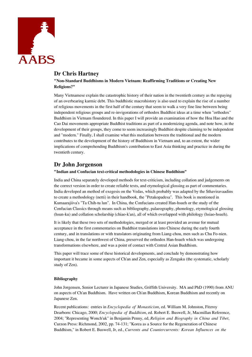

# **Dr Chris Hartney**

**"Non-Standard Buddhisms in Modern Vietnam: Reaffirming Traditions or Creating New Religions?"** 

Many Vietnamese explain the catastrophic history of their nation in the twentieth century as the repaying of an overbearing karmic debt. This buddhistic macrohistory is also used to explain the rise of a number of religious movements in the first half of the century that seem to walk a very fine line between being independent religious groups and re-invigorations of orthodox Buddhist ideas at a time when "orthodox" Buddhism in Vietnam floundered. In this paper I will provide an examination of how the Hoa Hao and the Cao Dai movements appropriate Buddhist traditions as part of a modernizing agenda, and note how, in the development of their groups, they come to seem increasingly Buddhist despite claiming to be independent and "modern." Finally, I shall examine what this mediation between the traditional and the modern contributes to the development of the history of Buddhism in Vietnam and, to an extent, the wider implications of comprehending Buddhism's contribution to East Asia thinking and practice in during the twentieth century.

# **Dr John Jorgenson**

#### **"Indian and Confucian text-critical methodologies in Chinese Buddhism"**

India and China separately developed methods for text-criticism, including collation and judgements on the correct version in order to create reliable texts, and etymological glossing as part of commentaries. India developed an method of exegesis on the Vedas, which probably was adapted by the Sthaviravaadins to create a methodology (netti) in their handbook, the "Petakopadesa". This book is mentioned in Kumaarajiiva's "Ta Chih-tu lun". In China, the Confucians created Han-hsueh or the study of the Confucian Classics through means such as bibliography, palaeography, phonology, etymological glossing (hsun-ku) and collation scholarship (chiao-k'an), all of which overlapped with philology (hsiao-hsueh).

It is likely that these two sets of methodologies, merged or at least provided an avenue for mutual acceptance in the first commentaries on Buddhist translations into Chinese during the early fourth century, and in translations or with translators originating from Liang-chou, men such as Chu Fo-nien. Liang-chou, in the far northwest of China, preserved the orthodox Han-hsueh which was undergoing transformations elsewhere, and was a point of contact with Central Asian Buddhism.

This paper will trace some of these historical developments, and conclude by demonstrating how important it became in some aspects of Ch'an and Zen, especially as Zengaku (the systematic, scholarly study of Zen).

## **Bibliography**

John Jorgensen, Senior Lecturer in Japanese Studies, Griffith University. MA and PhD (1990) from ANU on aspects of Ch'an Buddhism. Have written on Ch'an Buddhism, Korean Buddhism and recently on Japanese Zen.

Recent publications: entries in *Encyclopedia of Monasticism*, ed. William M. Johnston, Fitzroy Dearborn: Chicago, 2000; *Encyclopedia of Buddhism*, ed. Robert E. Buswell, Jr, Macmillan Reference, 2004; "Representing Wonch'uk" in Benjamin Penny, ed, *Religion and Biography in China and Tibet*, Curzon Press: Richmond, 2002, pp. 74-131; "Korea as a Source for the Regeneration of Chinese Buddhism," in Robert E. Buswell, Jr, ed., *Currents and Countercurrents: Korean Influences on the*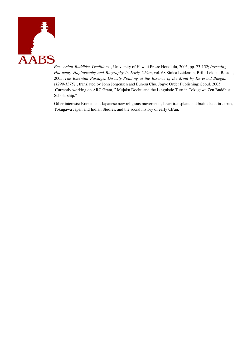

*East Asian Buddhist Traditions* , University of Hawaii Press: Honolulu, 2005, pp. 73-152; *Inventing Hui-neng: Hagiography and Biography in Early Ch'an*, vol. 68 Sinica Leidensia, Brill: Leiden, Boston, 2005; *The Essential Passages Directly Pointing at the Essence of the Mind by Reverend Baegun (1299-1375)* , translated by John Jorgensen and Eun-su Cho, Jogye Order Publishing: Seoul, 2005. Currently working on ARC Grant, " Mujaku Dochu and the Linguistic Turn in Tokugawa Zen Buddhist Scholarship."

> Other interests: Korean and Japanese new religious movements, heart transplant and brain death in Japan, Tokugawa Japan and Indian Studies, and the social history of early Ch'an.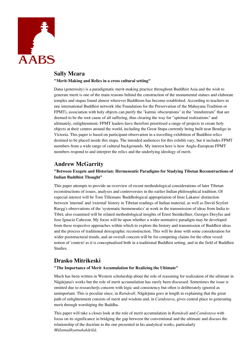

# **Sally Mcara**

**"Merit-Making and Relics in a cross cultural setting"** 

Dana (generosity) is a paradigmatic merit-making practice throughout Buddhist Asia and the wish to generate merit is one of the main reasons behind the construction of the monumental statues and elaborate temples and stupas found almost wherever Buddhism has become established. According to teachers in one international Buddhist network (the Foundation for the Preservation of the Mahayana Tradition or FPMT), association with holy objects can purify the "karmic obscurations" in the "mindstream" that are deemed to be the root cause of all suffering, thus clearing the way for "spiritual realizations" and ultimately, enlightenment. FPMT leaders have therefore prioritised a range of projects to create holy objects at their centres around the world, including the Great Stupa currently being built near Bendigo in Victoria. This paper is based on participant-observation in a travelling exhibition of Buddhist relics destined to be placed inside this stupa. The intended audiences for this exhibit vary, but it includes FPMT members from a wide range of cultural backgrounds. My interest here is how Anglo-European FPMT members respond to and interpret the relics and the underlying ideology of merit.

# **Andrew McGarrity**

# **"Between Exegete and Historian: Hermeneutic Paradigms for Studying Tibetan Reconstructions of Indian Buddhist Thought"**

This paper attempts to provide an overview of recent methodological considerations of later Tibetan reconstructions of issues, analyses and controversies in the earlier Indian philosophical tradition. Of especial interest will be Tom Tillemans 'Buddhological appropriation of Imre Lakatos' distinction between 'internal' and 'external' history in Tibetan readings of Indian material, as well as David Seyfort Ruegg's observations of the 'systematic hermeneutics' at work in the transmission of ideas from India to Tibet; also examined will be related methodological insights of Ernst Steinkellner, Georges Dreyfus and Jose Ignacio Cabezon. My focus will be upon whether a wider normative paradigm may be developed from these respective approaches within which to explore the history and transmission of Buddhist ideas and the process of traditional doxographic reconstruction. This will be done with some consideration for wider poststructural trends, and an overall concern will be for competing claims for the often vexed notion of 'context' as it is conceptualised both in a traditional Buddhist setting, and in the field of Buddhist Studies.

# **Drasko Mitrikeski**

## **"The Importance of Merit Accumulation for Realizing the Ultimate"**

Much has been written in Western scholarship about the role of reasoning for realization of the ultimate in Nàgàrjuna's works but the role of merit accumulation has rarely been discussed. Sometimes the issue is omitted due to researcher's concern with logic and consistency but often is deliberately ignored as unimportant. This is peculiar since, in *Ratnàvalã*, Nàgàrjuna goes at length in explaining that the great path of enlightenment consists of merit and wisdom and, in *Catuþstava*, gives central place to generating merit through worshiping the Buddha.

This paper will take a closer look at the role of merit accumulation in *Ratnàvalã* and *Catuþstava* with focus on its significance in bridging the gap between the conventional and the ultimate and discuss the relationship of the doctrine to the one presented in his analytical works, particularly *Mūlamadhyamakakàrikà*.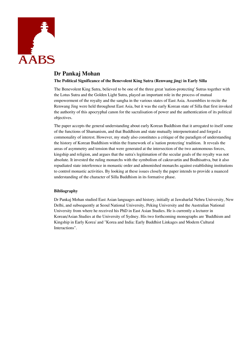

# **Dr Pankaj Mohan**

## **The Political Significance of the Benevolent King Sutra (Renwang jing) in Early Silla**

The Benevolent King Sutra, believed to be one of the three great 'nation-protecting' Sutras together with the Lotus Sutra and the Golden Light Sutra, played an important role in the process of mutual empowerment of the royalty and the sangha in the various states of East Asia. Assemblies to recite the Renwang Jing were held throughout East Asia, but it was the early Korean state of Silla that first invoked the authority of this apocryphal canon for the sacralisation of power and the authentication of its political objectives.

The paper accepts the general understanding about early Korean Buddhism that it arrogated to itself some of the functions of Shamanism, and that Buddhism and state mutually interpenetrated and forged a commonality of interest. However, my study also constitutes a critique of the paradigm of understanding the history of Korean Buddhism within the framework of a 'nation protecting' tradition. It reveals the areas of asymmetry and tension that were generated at the intersection of the two autonomous forces, kingship and religion, and argues that the sutra's legitimation of the secular goals of the royalty was not absolute. It invested the ruling monarchs with the symbolism of cakravartin and Bodhisattva, but it also repudiated state interference in monastic order and admonished monarchs against establishing institutions to control monastic activities. By looking at these issues closely the paper intends to provide a nuanced understanding of the character of Silla Buddhism in its formative phase.

## **Bibliography**

Dr Pankaj Mohan studied East Asian languages and history, initially at Jawaharlal Nehru University, New Delhi, and subsequently at Seoul National University, Peking University and the Australian National University from where he received his PhD in East Asian Studies. He is currently a lecturer in Korean/Asian Studies at the University of Sydney. His two forthcoming monographs are 'Buddhism and Kingship in Early Korea' and "Korea and India: Early Buddhist Linkages and Modern Cultural Interactions".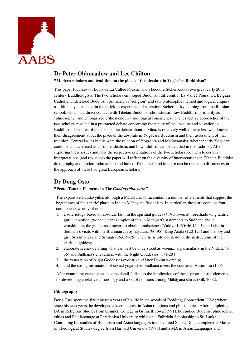

# **Dr Peter Oldmeadow and Lee Chilton**

**"Modern scholars and tradition on the place of the absolute in Yogàcàra Buddhism"**

This paper focusses on Louis de La Vallée Poussin and Theodore Stcherbatsky, two great early 20th century Buddhologists. The two scholars envisaged Buddhism differently: La Vall'e Poussin, a Belgian Catholic, understood Buddhism primarily as "religion" and saw philosophic method and logical enquiry as ultimately subsumed in the religious experience of salvation; Stcherbatsky, coming from the Russian school, which had direct contact with Tibetan Buddhist scholasticism, saw Buddhism primarily as "philosophy" and emphasized critical enquiry and logical consistency. The respective approaches of the two scholars resulted in a protracted debate concerning the nature of the absolute and salvation in Buddhism. One area of this debate, the debate about nirvāna, is relatively well known; less well known is their disagreement about the place of the absolute in Yogàcàra Buddhism and their assessment of that tradition. Central issues in this were the relation of Yogàcàra and Madhyamaka, whether early Yogàcàra could be characterised as absolute idealism, and how nihilism can be avoided in the tradition. After exploring these issues and how the respective orientations of the two scholars led them to certain interpretations (and revisions) the paper will reflect on the diversity of interpretations in Tibetan Buddhist doxography and modern scholarship and how differences found in these can be related to differences in the approach of these two great European scholars.

# **Dr Doug Osto**

## **"Proto-Tantric Elements in The** *Gandavyūha-sūtra***"**

The expansive Gandavyūha, although a Māhāyana sūtra, contains a number of elements that suggest the beginnings of the 'tantric' phase in Indian Màhàyana Buddhism. In particular, the såtra contains four components worthy of note:

- 1. a soteriology based on absolute faith in the spiritual guides (*kalyàõamitra*), foreshadowing tantric guru $\tilde{u}$ adoration (we see clear examples of this in Mañjuśrī's statements to Sudhana about worshipping the guides as a means to obtain omniscience (Vaidya 1960: 46.12-15), and also in Sudhana's visits with the Brahman Jayosmāyatana  $(90-95)$ , King Anala  $(120-123)$  and the boy and girl, Śrīsambhava and Śrimatī (363.19-25) where he is told not to doubt the instructions of the spiritual guides);
- 2. elaborate scenes detailing what can best be understood as *mandalas*, particularly in the Nidāna (1-35) and Sudhana's encounters with the Night Goddesses (171-284);
- 3. the veneration of Night Goddesses evocative of later Dākiņī worship;
- 4. and the strong insinuation of sexual yoga when Sudhana meets the courtesan Vasumitra (155).

After examining each aspect in some detail, I discuss the implications of these 'proto-tantric' elements for developing a relative chronology and a set of relations among Màhàyana såtras (Silk 2002).

## **Bibliography**

Doug Osto spent the first nineteen years of his life in the woods of Redding, Connecticut, USA; where, since his teen years, he developed a keen interest in Asian religions and philosophies. After completing a BA in Religious Studies from Grinnell College in Grinnell, Iowa (1991), he studied Buddhist philosophy, ethics and Pàli language at Peradeniya University while on a Fulbright Scholarship to Sri Lanka. Continuing his studies of Buddhism and Asian languages in the United States, Doug completed a Master of Theological Studies degree from Harvard University (1995) and a MA in Asian Languages and